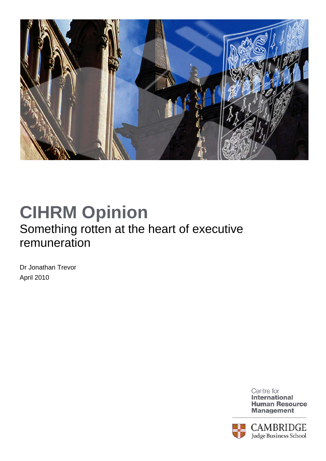

## **CIHRM Opinion**  Something rotten at the heart of executive remuneration

Dr Jonathan Trevor April 2010

> Centre for **International Human Resource Management**

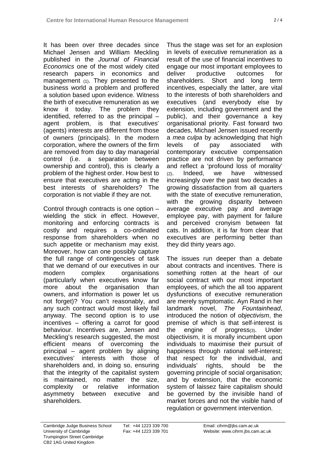It has been over three decades since Michael Jensen and William Meckling published in the *Journal of Financial Economics* one of the most widely cited research papers in economics and management (1). They presented to the business world a problem and proffered a solution based upon evidence. Witness the birth of executive remuneration as we know it today. The problem they identified, referred to as the principal – agent problem, is that executives' (agents) interests are different from those of owners (principals). In the modern corporation, where the owners of the firm are removed from day to day managerial control (i.e. a separation between ownership and control), this is clearly a problem of the highest order. How best to ensure that executives are acting in the best interests of shareholders? The corporation is not viable if they are not.

Control through contracts is one option – wielding the stick in effect. However, monitoring and enforcing contracts is costly and requires a co-ordinated response from shareholders when no such appetite or mechanism may exist. Moreover, how can one possibly capture the full range of contingencies of task that we demand of our executives in our modern complex organisations (particularly when executives know far more about the organisation than owners, and information is power let us not forget)? You can't reasonably, and any such contract would most likely fail anyway. The second option is to use incentives – offering a carrot for good behaviour. Incentives are, Jensen and Meckling's research suggested, the most efficient means of overcoming the principal – agent problem by aligning executives' interests with those of shareholders and, in doing so, ensuring that the integrity of the capitalist system is maintained, no matter the size, complexity or relative information asymmetry between executive and shareholders.

Thus the stage was set for an explosion in levels of executive remuneration as a result of the use of financial incentives to engage our most important employees to deliver productive outcomes for shareholders. Short and long term incentives, especially the latter, are vital to the interests of both shareholders and executives (and everybody else by extension, including government and the public), and their governance a key organisational priority. Fast forward two decades, Michael Jensen issued recently a *mea culpa* by acknowledging that high levels of pay associated with contemporary executive compensation practice are not driven by performance and reflect a 'profound loss of morality' (2). Indeed, we have witnessed increasingly over the past two decades a growing dissatisfaction from all quarters with the state of executive remuneration, with the growing disparity between average executive pay and average employee pay, with payment for failure and perceived cronyism between fat cats. In addition, it is far from clear that executives are performing better than they did thirty years ago.

The issues run deeper than a debate about contracts and incentives. There is something rotten at the heart of our social contract with our most important employees, of which the all too apparent dysfunctions of executive remuneration are merely symptomatic. Ayn Rand in her landmark novel, *The Fountainhead*, introduced the notion of *objectivism*, the premise of which is that self-interest is the engine of progress(3). Under objectivism, it is morally incumbent upon individuals to maximise their pursuit of happiness through rational self-interest; that respect for the individual, and individuals' rights, should be the governing principle of social organisation; and by extension, that the economic system of laissez faire capitalism should be governed by the invisible hand of market forces and not the visible hand of regulation or government intervention.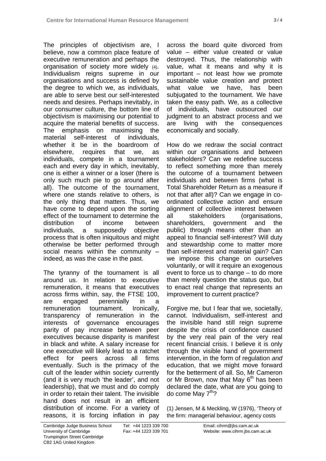The principles of objectivism are, I believe, now a common place feature of executive remuneration and perhaps the organisation of society more widely (4). Individualism reigns supreme in our organisations and success is defined by the degree to which we, as individuals, are able to serve best our self-interested needs and desires. Perhaps inevitably, in our consumer culture, the bottom line of objectivism is maximising our potential to acquire the material benefits of success. The emphasis on maximising the material self-interest of individuals, whether it be in the boardroom of elsewhere, requires that we, as individuals, compete in a tournament each and every day in which, inevitably, one is either a winner or a loser (there is only such much pie to go around after all). The outcome of the tournament, where one stands relative to others, is the only thing that matters. Thus, we have come to depend upon the sorting effect of the tournament to determine the distribution of income between individuals, a supposedly objective process that is often iniquitous and might otherwise be better performed through social means within the community – indeed, as was the case in the past.

The tyranny of the tournament is all around us. In relation to executive remuneration, it means that executives across firms within, say, the FTSE 100, are engaged perennially in a remuneration tournament. Ironically, transparency of remuneration in the interests of governance encourages parity of pay increase between peer executives because disparity is manifest in black and white. A salary increase for one executive will likely lead to a ratchet effect for peers across all firms eventually. Such is the primacy of the cult of the leader within society currently (and it is very much 'the leader', and not leadership), that we must and do comply in order to retain their talent. The invisible hand does not result in an efficient distribution of income. For a variety of reasons, it is forcing inflation in pay

across the board quite divorced from value – either value created or value destroyed. Thus, the relationship with value, what it means and why it is important – not least how we promote sustainable value creation *and* protect what value we have, has been subjugated to the tournament. We have taken the easy path. We, as a collective of individuals, have outsourced our judgment to an abstract process and we are living with the consequences economically and socially.

How do we redraw the social contract within our organisations and between stakeholders? Can we redefine success to reflect something more than merely the outcome of a tournament between individuals and between firms (what is Total Shareholder Return as a measure if not that after all)? Can we engage in coordinated collective action and ensure alignment of collective interest between all stakeholders (organisations, shareholders, government and the public) through means other than an appeal to financial self-interest? Will duty and stewardship come to matter more than self-interest and material gain? Can we impose this change on ourselves voluntarily, or will it require an exogenous event to force us to change – to do more than merely question the status quo, but to enact real change that represents an improvement to current practice?

Forgive me, but I fear that we, societally, cannot. Individualism, self-interest and the invisible hand still reign supreme despite the crisis of confidence caused by the very real pain of the very real recent financial crisis. I believe it is only through the visible hand of government intervention, in the form of regulation *and*  education, that we might move forward for the betterment of all. So, Mr Cameron or Mr Brown, now that May  $6<sup>th</sup>$  has been declared the date, what are you going to do come May  $7<sup>th</sup>$ ?

(1) Jensen, M & Meckling, W (1976), 'Theory of the firm: managerial behaviour, agency costs